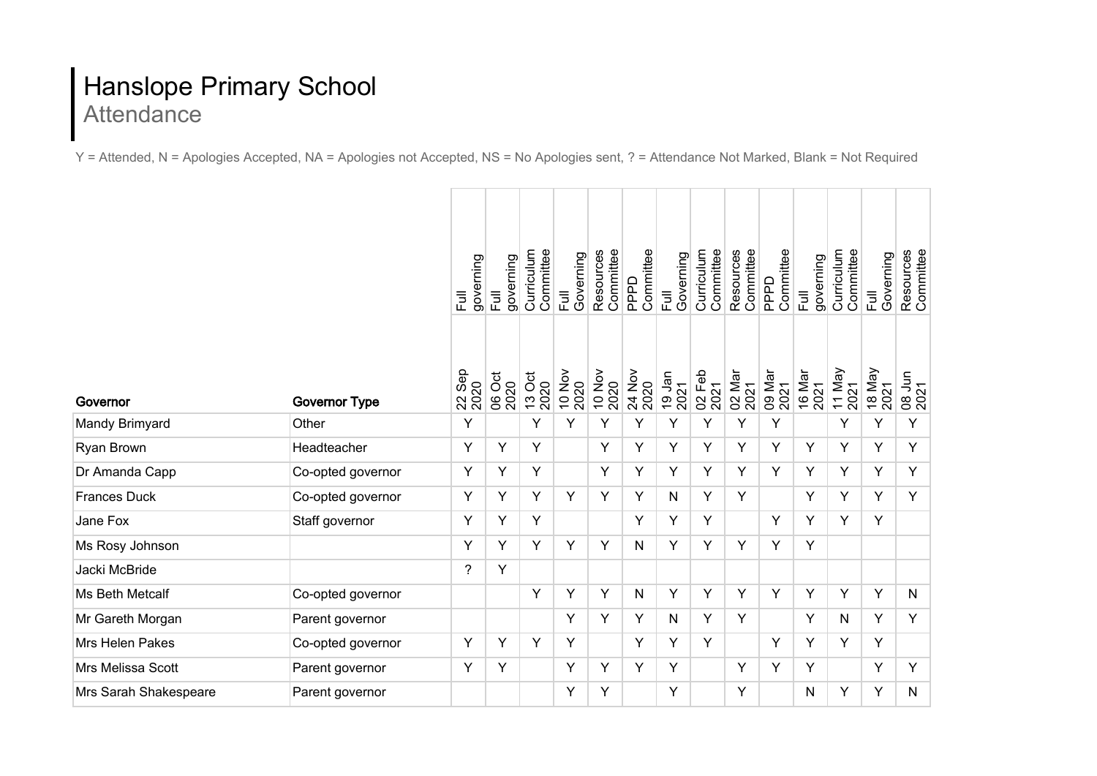## Hanslope Primary School **Attendance**

Y = Attended, N = Apologies Accepted, NA = Apologies not Accepted, NS = No Apologies sent, ? = Attendance Not Marked, Blank = Not Required

| Governor              | <b>Governor Type</b> | governing<br>良<br>Sep<br>2020<br>$\Omega$ | governing<br>言<br>06 Oct<br>2020 | Curriculum<br>Committee<br>13 Oct<br>2020 | Governing<br>$\overline{\mathsf{F}}$ ull<br>10 Nov<br>2020 | Committee<br>Resources<br>10 Nov<br>2020 | Committee<br>PPPD<br>24 Nov<br>2020 | Governing<br>$\bar{E}$<br>19 Jan<br>2021 | Curriculum<br>Committee<br>02 Feb<br>2021 | Resources<br>Committee<br>02 Mar<br>2021 | Committee<br>PPPD<br>09 Mar<br>2021 | governing<br>言<br>16 Mar<br>2021 | Committee<br>Curriculum<br>11 May<br>2021 | Governing<br>$\overline{\Xi}$<br>18 May<br>2021 | Resources<br>Committee<br>08 Jun<br>2021 |
|-----------------------|----------------------|-------------------------------------------|----------------------------------|-------------------------------------------|------------------------------------------------------------|------------------------------------------|-------------------------------------|------------------------------------------|-------------------------------------------|------------------------------------------|-------------------------------------|----------------------------------|-------------------------------------------|-------------------------------------------------|------------------------------------------|
| Mandy Brimyard        | Other                | Υ                                         |                                  | Υ                                         | Y                                                          | Y                                        | Υ                                   | Y                                        | Υ                                         | Υ                                        | Y                                   |                                  | Y                                         | Y                                               | Y                                        |
| Ryan Brown            | Headteacher          | Y                                         | Y                                | Y                                         |                                                            | Y                                        | Y                                   | Y                                        | Y                                         | Y                                        | Y                                   | Y                                | Y                                         | Y                                               | Y                                        |
| Dr Amanda Capp        | Co-opted governor    | Υ                                         | Υ                                | Y                                         |                                                            | Y                                        | Y                                   | Υ                                        | Υ                                         | Y                                        | Y                                   | Y                                | Y                                         | Y                                               | Y                                        |
| <b>Frances Duck</b>   | Co-opted governor    | Υ                                         | Y                                | Y                                         | Y                                                          | Y                                        | Y                                   | N                                        | Y                                         | Y                                        |                                     | Y                                | Y                                         | Υ                                               | Y                                        |
| Jane Fox              | Staff governor       | Υ                                         | Y                                | Y                                         |                                                            |                                          | Y                                   | Υ                                        | Y                                         |                                          | Y                                   | Y                                | Y                                         | Y                                               |                                          |
| Ms Rosy Johnson       |                      | Y                                         | Y                                | Y                                         | Υ                                                          | Y                                        | N                                   | Y                                        | Y                                         | Y                                        | Y                                   | Y                                |                                           |                                                 |                                          |
| Jacki McBride         |                      | $\overline{?}$                            | Y                                |                                           |                                                            |                                          |                                     |                                          |                                           |                                          |                                     |                                  |                                           |                                                 |                                          |
| Ms Beth Metcalf       | Co-opted governor    |                                           |                                  | Y                                         | Y                                                          | Y                                        | $\mathsf{N}$                        | Υ                                        | Y                                         | Y                                        | Y                                   | Y                                | Y                                         | Y                                               | N                                        |
| Mr Gareth Morgan      | Parent governor      |                                           |                                  |                                           | Y                                                          | Y                                        | Y                                   | $\mathsf{N}$                             | Y                                         | Y                                        |                                     | Y                                | N                                         | Y                                               | Y                                        |
| Mrs Helen Pakes       | Co-opted governor    | Υ                                         | Y                                | Y                                         | Y                                                          |                                          | Y                                   | Υ                                        | Y                                         |                                          | Y                                   | Y                                | Y                                         | Υ                                               |                                          |
| Mrs Melissa Scott     | Parent governor      | Y                                         | Y                                |                                           | Υ                                                          | Y                                        | Y                                   | Y                                        |                                           | Y                                        | Y                                   | Y                                |                                           | Y                                               | Y                                        |
| Mrs Sarah Shakespeare | Parent governor      |                                           |                                  |                                           | Υ                                                          | Y                                        |                                     | Y                                        |                                           | Y                                        |                                     | N                                | Y                                         | Υ                                               | Ν                                        |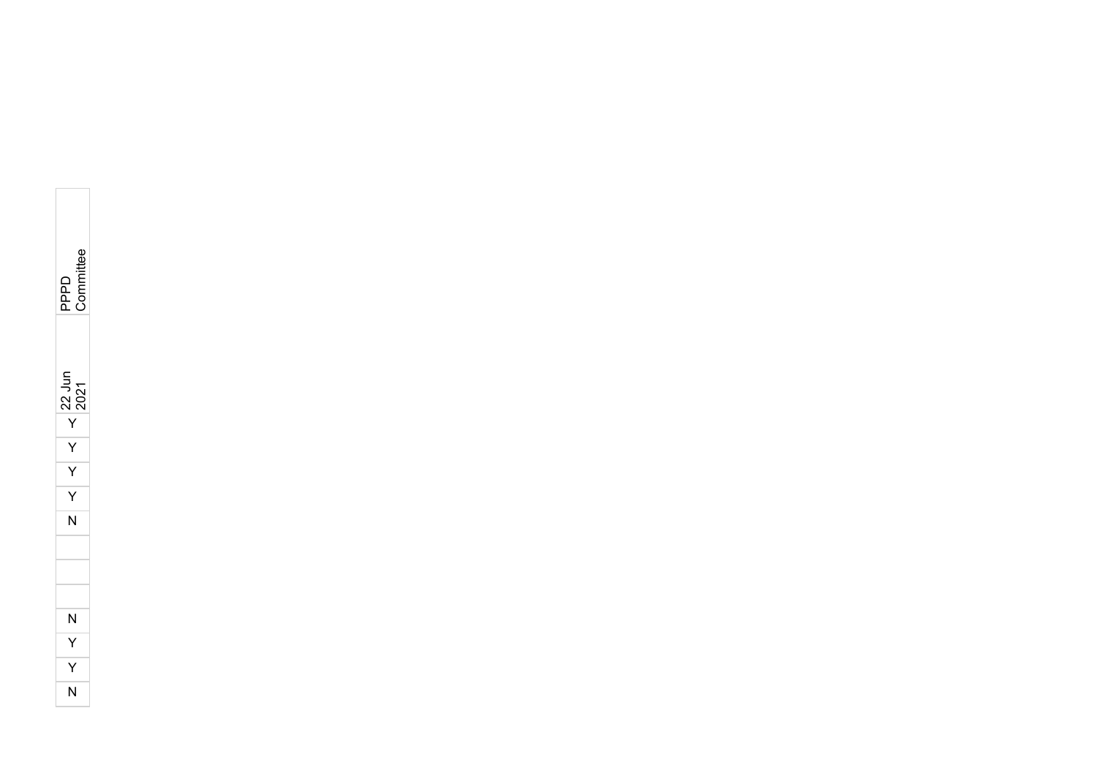| í<br>C<br>í | ŗ                   |
|-------------|---------------------|
| ş           | 2021<br>Ĭ<br>ı<br>Ń |
|             | Ń<br>N              |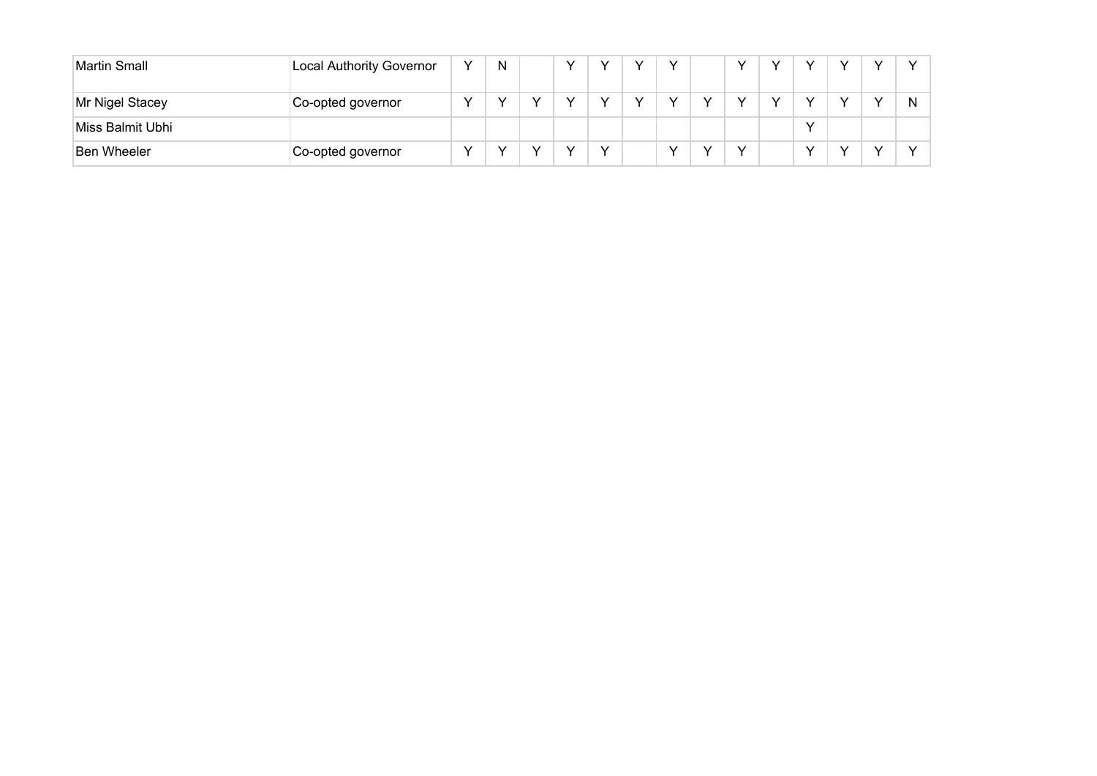| <b>Martin Small</b> | <b>Local Authority Governor</b> | $\checkmark$ | N |          |  |  |              | $\lambda$    | $\lambda$ | $\mathbf{v}$ |   |
|---------------------|---------------------------------|--------------|---|----------|--|--|--------------|--------------|-----------|--------------|---|
| Mr Nigel Stacey     | Co-opted governor               | $\mathbf{v}$ |   | <b>1</b> |  |  | $\lambda$    | $\cdot$      |           |              | N |
| Miss Balmit Ubhi    |                                 |              |   |          |  |  |              | $\checkmark$ |           |              |   |
| Ben Wheeler         | Co-opted governor               | $\lambda$    |   |          |  |  | $\checkmark$ | $\cdot$      |           |              |   |